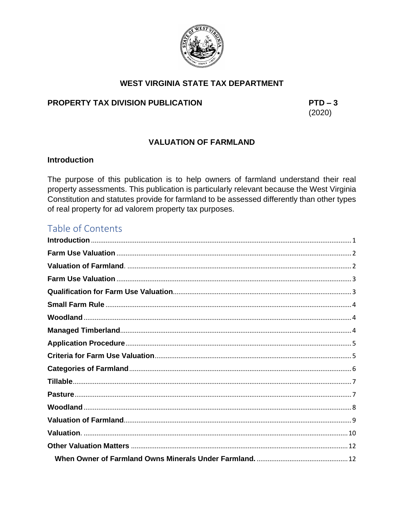

# **WEST VIRGINIA STATE TAX DEPARTMENT**

# PROPERTY TAX DIVISION PUBLICATION

 $PTD-3$  $(2020)$ 

# **VALUATION OF FARMLAND**

### <span id="page-0-0"></span>**Introduction**

The purpose of this publication is to help owners of farmland understand their real property assessments. This publication is particularly relevant because the West Virginia Constitution and statutes provide for farmland to be assessed differently than other types of real property for ad valorem property tax purposes.

# Table of Contents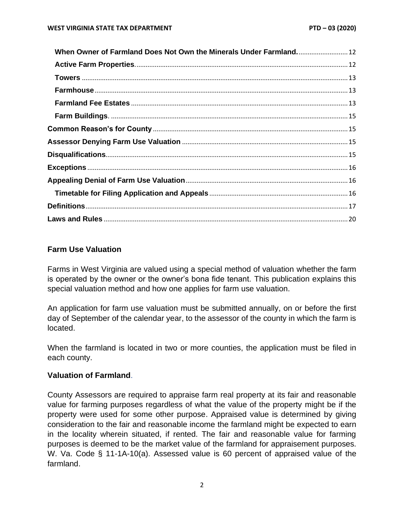| When Owner of Farmland Does Not Own the Minerals Under Farmland 12 |  |
|--------------------------------------------------------------------|--|
|                                                                    |  |
|                                                                    |  |
|                                                                    |  |
|                                                                    |  |
|                                                                    |  |
|                                                                    |  |
|                                                                    |  |
|                                                                    |  |
|                                                                    |  |
|                                                                    |  |
|                                                                    |  |
|                                                                    |  |
|                                                                    |  |

### <span id="page-1-0"></span>**Farm Use Valuation**

Farms in West Virginia are valued using a special method of valuation whether the farm is operated by the owner or the owner's bona fide tenant. This publication explains this special valuation method and how one applies for farm use valuation.

An application for farm use valuation must be submitted annually, on or before the first day of September of the calendar year, to the assessor of the county in which the farm is located.

When the farmland is located in two or more counties, the application must be filed in each county.

#### <span id="page-1-1"></span>**Valuation of Farmland**.

County Assessors are required to appraise farm real property at its fair and reasonable value for farming purposes regardless of what the value of the property might be if the property were used for some other purpose. Appraised value is determined by giving consideration to the fair and reasonable income the farmland might be expected to earn in the locality wherein situated, if rented. The fair and reasonable value for farming purposes is deemed to be the market value of the farmland for appraisement purposes. W. Va. Code § 11-1A-10(a). Assessed value is 60 percent of appraised value of the farmland.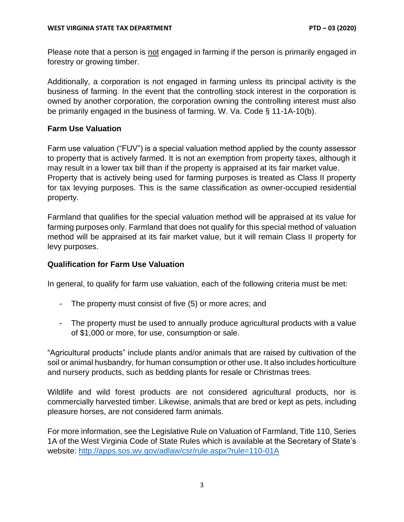Please note that a person is not engaged in farming if the person is primarily engaged in forestry or growing timber.

Additionally, a corporation is not engaged in farming unless its principal activity is the business of farming. In the event that the controlling stock interest in the corporation is owned by another corporation, the corporation owning the controlling interest must also be primarily engaged in the business of farming. W. Va. Code § 11-1A-10(b).

### <span id="page-2-0"></span>**Farm Use Valuation**

Farm use valuation ("FUV") is a special valuation method applied by the county assessor to property that is actively farmed. It is not an exemption from property taxes, although it may result in a lower tax bill than if the property is appraised at its fair market value. Property that is actively being used for farming purposes is treated as Class II property for tax levying purposes. This is the same classification as owner-occupied residential property.

Farmland that qualifies for the special valuation method will be appraised at its value for farming purposes only. Farmland that does not qualify for this special method of valuation method will be appraised at its fair market value, but it will remain Class II property for levy purposes.

### <span id="page-2-1"></span>**Qualification for Farm Use Valuation**

In general, to qualify for farm use valuation, each of the following criteria must be met:

- The property must consist of five (5) or more acres; and
- The property must be used to annually produce agricultural products with a value of \$1,000 or more, for use, consumption or sale.

"Agricultural products" include plants and/or animals that are raised by cultivation of the soil or animal husbandry, for human consumption or other use. It also includes horticulture and nursery products, such as bedding plants for resale or Christmas trees.

Wildlife and wild forest products are not considered agricultural products, nor is commercially harvested timber. Likewise, animals that are bred or kept as pets, including pleasure horses, are not considered farm animals.

For more information, see the Legislative Rule on Valuation of Farmland, Title 110, Series 1A of the West Virginia Code of State Rules which is available at the Secretary of State's website:<http://apps.sos.wv.gov/adlaw/csr/rule.aspx?rule=110-01A>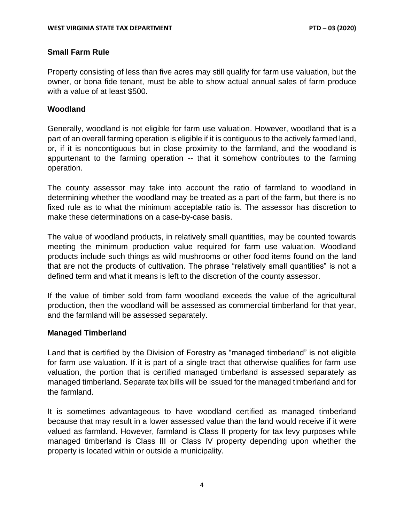### <span id="page-3-0"></span>**Small Farm Rule**

Property consisting of less than five acres may still qualify for farm use valuation, but the owner, or bona fide tenant, must be able to show actual annual sales of farm produce with a value of at least \$500.

### <span id="page-3-1"></span>**Woodland**

Generally, woodland is not eligible for farm use valuation. However, woodland that is a part of an overall farming operation is eligible if it is contiguous to the actively farmed land, or, if it is noncontiguous but in close proximity to the farmland, and the woodland is appurtenant to the farming operation -- that it somehow contributes to the farming operation.

The county assessor may take into account the ratio of farmland to woodland in determining whether the woodland may be treated as a part of the farm, but there is no fixed rule as to what the minimum acceptable ratio is. The assessor has discretion to make these determinations on a case-by-case basis.

The value of woodland products, in relatively small quantities, may be counted towards meeting the minimum production value required for farm use valuation. Woodland products include such things as wild mushrooms or other food items found on the land that are not the products of cultivation. The phrase "relatively small quantities" is not a defined term and what it means is left to the discretion of the county assessor.

If the value of timber sold from farm woodland exceeds the value of the agricultural production, then the woodland will be assessed as commercial timberland for that year, and the farmland will be assessed separately.

#### <span id="page-3-2"></span>**Managed Timberland**

Land that is certified by the Division of Forestry as "managed timberland" is not eligible for farm use valuation. If it is part of a single tract that otherwise qualifies for farm use valuation, the portion that is certified managed timberland is assessed separately as managed timberland. Separate tax bills will be issued for the managed timberland and for the farmland.

It is sometimes advantageous to have woodland certified as managed timberland because that may result in a lower assessed value than the land would receive if it were valued as farmland. However, farmland is Class II property for tax levy purposes while managed timberland is Class III or Class IV property depending upon whether the property is located within or outside a municipality.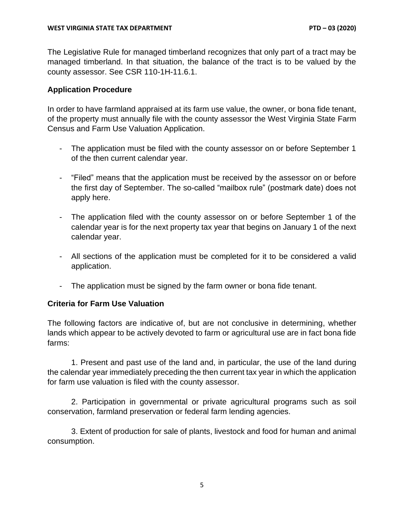The Legislative Rule for managed timberland recognizes that only part of a tract may be managed timberland. In that situation, the balance of the tract is to be valued by the county assessor. See CSR 110-1H-11.6.1.

### <span id="page-4-0"></span>**Application Procedure**

In order to have farmland appraised at its farm use value, the owner, or bona fide tenant, of the property must annually file with the county assessor the West Virginia State Farm Census and Farm Use Valuation Application.

- The application must be filed with the county assessor on or before September 1 of the then current calendar year.
- "Filed" means that the application must be received by the assessor on or before the first day of September. The so-called "mailbox rule" (postmark date) does not apply here.
- The application filed with the county assessor on or before September 1 of the calendar year is for the next property tax year that begins on January 1 of the next calendar year.
- All sections of the application must be completed for it to be considered a valid application.
- The application must be signed by the farm owner or bona fide tenant.

### <span id="page-4-1"></span>**Criteria for Farm Use Valuation**

The following factors are indicative of, but are not conclusive in determining, whether lands which appear to be actively devoted to farm or agricultural use are in fact bona fide farms:

1. Present and past use of the land and, in particular, the use of the land during the calendar year immediately preceding the then current tax year in which the application for farm use valuation is filed with the county assessor.

2. Participation in governmental or private agricultural programs such as soil conservation, farmland preservation or federal farm lending agencies.

3. Extent of production for sale of plants, livestock and food for human and animal consumption.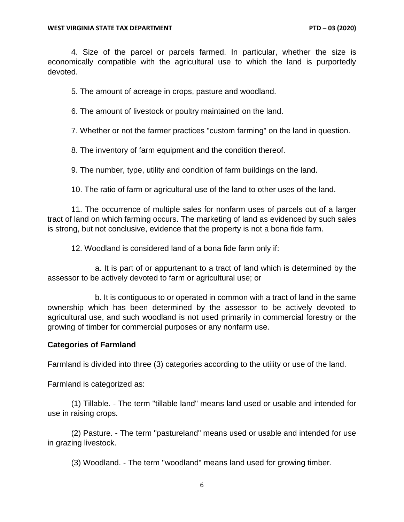4. Size of the parcel or parcels farmed. In particular, whether the size is economically compatible with the agricultural use to which the land is purportedly devoted.

5. The amount of acreage in crops, pasture and woodland.

6. The amount of livestock or poultry maintained on the land.

7. Whether or not the farmer practices "custom farming" on the land in question.

8. The inventory of farm equipment and the condition thereof.

9. The number, type, utility and condition of farm buildings on the land.

10. The ratio of farm or agricultural use of the land to other uses of the land.

11. The occurrence of multiple sales for nonfarm uses of parcels out of a larger tract of land on which farming occurs. The marketing of land as evidenced by such sales is strong, but not conclusive, evidence that the property is not a bona fide farm.

12. Woodland is considered land of a bona fide farm only if:

a. It is part of or appurtenant to a tract of land which is determined by the assessor to be actively devoted to farm or agricultural use; or

b. It is contiguous to or operated in common with a tract of land in the same ownership which has been determined by the assessor to be actively devoted to agricultural use, and such woodland is not used primarily in commercial forestry or the growing of timber for commercial purposes or any nonfarm use.

#### <span id="page-5-0"></span>**Categories of Farmland**

Farmland is divided into three (3) categories according to the utility or use of the land.

Farmland is categorized as:

(1) Tillable. - The term "tillable land" means land used or usable and intended for use in raising crops.

(2) Pasture. - The term "pastureland" means used or usable and intended for use in grazing livestock.

(3) Woodland. - The term "woodland" means land used for growing timber.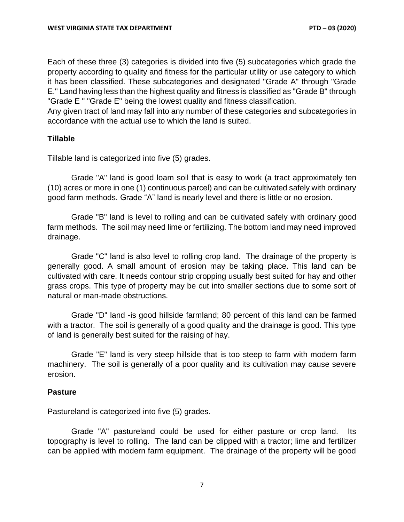Each of these three (3) categories is divided into five (5) subcategories which grade the property according to quality and fitness for the particular utility or use category to which it has been classified. These subcategories and designated "Grade A" through "Grade E." Land having less than the highest quality and fitness is classified as "Grade B" through "Grade E " "Grade E" being the lowest quality and fitness classification.

Any given tract of land may fall into any number of these categories and subcategories in accordance with the actual use to which the land is suited.

#### <span id="page-6-0"></span>**Tillable**

Tillable land is categorized into five (5) grades.

Grade "A" land is good loam soil that is easy to work (a tract approximately ten (10) acres or more in one (1) continuous parcel) and can be cultivated safely with ordinary good farm methods. Grade "A" land is nearly level and there is little or no erosion.

Grade "B" land is level to rolling and can be cultivated safely with ordinary good farm methods. The soil may need lime or fertilizing. The bottom land may need improved drainage.

Grade "C" land is also level to rolling crop land. The drainage of the property is generally good. A small amount of erosion may be taking place. This land can be cultivated with care. It needs contour strip cropping usually best suited for hay and other grass crops. This type of property may be cut into smaller sections due to some sort of natural or man-made obstructions.

Grade "D" land -is good hillside farmland; 80 percent of this land can be farmed with a tractor. The soil is generally of a good quality and the drainage is good. This type of land is generally best suited for the raising of hay.

Grade "E" land is very steep hillside that is too steep to farm with modern farm machinery. The soil is generally of a poor quality and its cultivation may cause severe erosion.

#### <span id="page-6-1"></span>**Pasture**

Pastureland is categorized into five (5) grades.

Grade "A" pastureland could be used for either pasture or crop land. Its topography is level to rolling. The land can be clipped with a tractor; lime and fertilizer can be applied with modern farm equipment. The drainage of the property will be good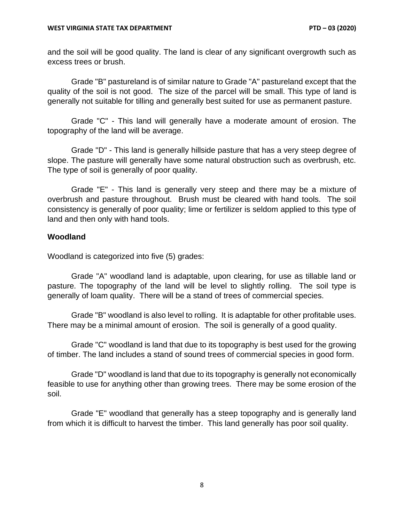and the soil will be good quality. The land is clear of any significant overgrowth such as excess trees or brush.

Grade "B" pastureland is of similar nature to Grade "A" pastureland except that the quality of the soil is not good. The size of the parcel will be small. This type of land is generally not suitable for tilling and generally best suited for use as permanent pasture.

Grade "C" - This land will generally have a moderate amount of erosion. The topography of the land will be average.

Grade "D" - This land is generally hillside pasture that has a very steep degree of slope. The pasture will generally have some natural obstruction such as overbrush, etc. The type of soil is generally of poor quality.

Grade "E" - This land is generally very steep and there may be a mixture of overbrush and pasture throughout. Brush must be cleared with hand tools. The soil consistency is generally of poor quality; lime or fertilizer is seldom applied to this type of land and then only with hand tools.

#### <span id="page-7-0"></span>**Woodland**

Woodland is categorized into five (5) grades:

Grade "A" woodland land is adaptable, upon clearing, for use as tillable land or pasture. The topography of the land will be level to slightly rolling. The soil type is generally of loam quality. There will be a stand of trees of commercial species.

Grade "B" woodland is also level to rolling. It is adaptable for other profitable uses. There may be a minimal amount of erosion. The soil is generally of a good quality.

Grade "C" woodland is land that due to its topography is best used for the growing of timber. The land includes a stand of sound trees of commercial species in good form.

Grade "D" woodland is land that due to its topography is generally not economically feasible to use for anything other than growing trees. There may be some erosion of the soil.

Grade "E" woodland that generally has a steep topography and is generally land from which it is difficult to harvest the timber. This land generally has poor soil quality.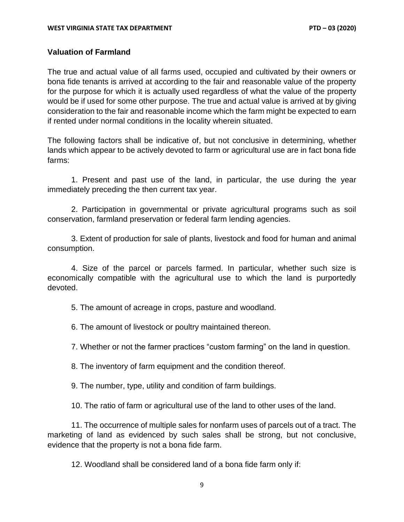### <span id="page-8-0"></span>**Valuation of Farmland**

The true and actual value of all farms used, occupied and cultivated by their owners or bona fide tenants is arrived at according to the fair and reasonable value of the property for the purpose for which it is actually used regardless of what the value of the property would be if used for some other purpose. The true and actual value is arrived at by giving consideration to the fair and reasonable income which the farm might be expected to earn if rented under normal conditions in the locality wherein situated.

The following factors shall be indicative of, but not conclusive in determining, whether lands which appear to be actively devoted to farm or agricultural use are in fact bona fide farms:

1. Present and past use of the land, in particular, the use during the year immediately preceding the then current tax year.

2. Participation in governmental or private agricultural programs such as soil conservation, farmland preservation or federal farm lending agencies.

3. Extent of production for sale of plants, livestock and food for human and animal consumption.

4. Size of the parcel or parcels farmed. In particular, whether such size is economically compatible with the agricultural use to which the land is purportedly devoted.

5. The amount of acreage in crops, pasture and woodland.

6. The amount of livestock or poultry maintained thereon.

7. Whether or not the farmer practices "custom farming" on the land in question.

8. The inventory of farm equipment and the condition thereof.

9. The number, type, utility and condition of farm buildings.

10. The ratio of farm or agricultural use of the land to other uses of the land.

11. The occurrence of multiple sales for nonfarm uses of parcels out of a tract. The marketing of land as evidenced by such sales shall be strong, but not conclusive, evidence that the property is not a bona fide farm.

12. Woodland shall be considered land of a bona fide farm only if: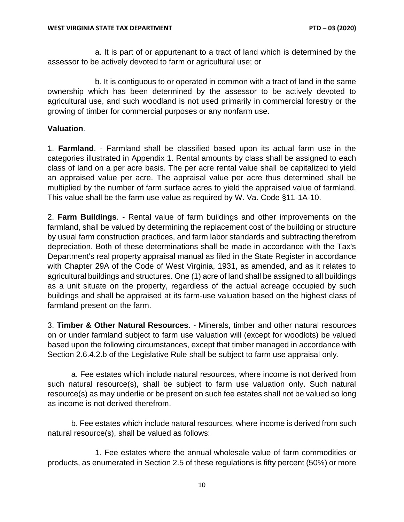a. It is part of or appurtenant to a tract of land which is determined by the assessor to be actively devoted to farm or agricultural use; or

b. It is contiguous to or operated in common with a tract of land in the same ownership which has been determined by the assessor to be actively devoted to agricultural use, and such woodland is not used primarily in commercial forestry or the growing of timber for commercial purposes or any nonfarm use.

### <span id="page-9-0"></span>**Valuation**.

1. **Farmland**. - Farmland shall be classified based upon its actual farm use in the categories illustrated in Appendix 1. Rental amounts by class shall be assigned to each class of land on a per acre basis. The per acre rental value shall be capitalized to yield an appraised value per acre. The appraisal value per acre thus determined shall be multiplied by the number of farm surface acres to yield the appraised value of farmland. This value shall be the farm use value as required by W. Va. Code §11-1A-10.

2. **Farm Buildings**. - Rental value of farm buildings and other improvements on the farmland, shall be valued by determining the replacement cost of the building or structure by usual farm construction practices, and farm labor standards and subtracting therefrom depreciation. Both of these determinations shall be made in accordance with the Tax's Department's real property appraisal manual as filed in the State Register in accordance with Chapter 29A of the Code of West Virginia, 1931, as amended, and as it relates to agricultural buildings and structures. One (1) acre of land shall be assigned to all buildings as a unit situate on the property, regardless of the actual acreage occupied by such buildings and shall be appraised at its farm-use valuation based on the highest class of farmland present on the farm.

3. **Timber & Other Natural Resources**. - Minerals, timber and other natural resources on or under farmland subject to farm use valuation will (except for woodlots) be valued based upon the following circumstances, except that timber managed in accordance with Section 2.6.4.2.b of the Legislative Rule shall be subject to farm use appraisal only.

a. Fee estates which include natural resources, where income is not derived from such natural resource(s), shall be subject to farm use valuation only. Such natural resource(s) as may underlie or be present on such fee estates shall not be valued so long as income is not derived therefrom.

b. Fee estates which include natural resources, where income is derived from such natural resource(s), shall be valued as follows:

1. Fee estates where the annual wholesale value of farm commodities or products, as enumerated in Section 2.5 of these regulations is fifty percent (50%) or more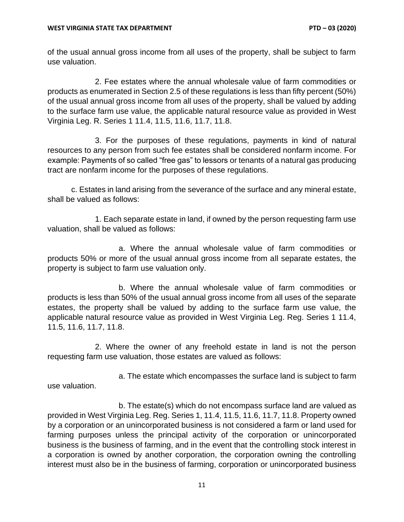of the usual annual gross income from all uses of the property, shall be subject to farm use valuation.

2. Fee estates where the annual wholesale value of farm commodities or products as enumerated in Section 2.5 of these regulations is less than fifty percent (50%) of the usual annual gross income from all uses of the property, shall be valued by adding to the surface farm use value, the applicable natural resource value as provided in West Virginia Leg. R. Series 1 11.4, 11.5, 11.6, 11.7, 11.8.

3. For the purposes of these regulations, payments in kind of natural resources to any person from such fee estates shall be considered nonfarm income. For example: Payments of so called "free gas" to lessors or tenants of a natural gas producing tract are nonfarm income for the purposes of these regulations.

c. Estates in land arising from the severance of the surface and any mineral estate, shall be valued as follows:

1. Each separate estate in land, if owned by the person requesting farm use valuation, shall be valued as follows:

a. Where the annual wholesale value of farm commodities or products 50% or more of the usual annual gross income from all separate estates, the property is subject to farm use valuation only.

b. Where the annual wholesale value of farm commodities or products is less than 50% of the usual annual gross income from all uses of the separate estates, the property shall be valued by adding to the surface farm use value, the applicable natural resource value as provided in West Virginia Leg. Reg. Series 1 11.4, 11.5, 11.6, 11.7, 11.8.

2. Where the owner of any freehold estate in land is not the person requesting farm use valuation, those estates are valued as follows:

a. The estate which encompasses the surface land is subject to farm use valuation.

b. The estate(s) which do not encompass surface land are valued as provided in West Virginia Leg. Reg. Series 1, 11.4, 11.5, 11.6, 11.7, 11.8. Property owned by a corporation or an unincorporated business is not considered a farm or land used for farming purposes unless the principal activity of the corporation or unincorporated business is the business of farming, and in the event that the controlling stock interest in a corporation is owned by another corporation, the corporation owning the controlling interest must also be in the business of farming, corporation or unincorporated business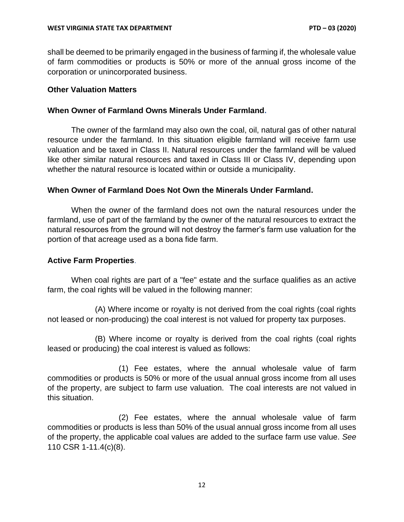shall be deemed to be primarily engaged in the business of farming if, the wholesale value of farm commodities or products is 50% or more of the annual gross income of the corporation or unincorporated business.

### <span id="page-11-0"></span>**Other Valuation Matters**

#### <span id="page-11-1"></span>**When Owner of Farmland Owns Minerals Under Farmland.**

The owner of the farmland may also own the coal, oil, natural gas of other natural resource under the farmland. In this situation eligible farmland will receive farm use valuation and be taxed in Class II. Natural resources under the farmland will be valued like other similar natural resources and taxed in Class III or Class IV, depending upon whether the natural resource is located within or outside a municipality.

#### <span id="page-11-2"></span>**When Owner of Farmland Does Not Own the Minerals Under Farmland.**

When the owner of the farmland does not own the natural resources under the farmland, use of part of the farmland by the owner of the natural resources to extract the natural resources from the ground will not destroy the farmer's farm use valuation for the portion of that acreage used as a bona fide farm.

#### <span id="page-11-3"></span>**Active Farm Properties**.

When coal rights are part of a "fee" estate and the surface qualifies as an active farm, the coal rights will be valued in the following manner:

(A) Where income or royalty is not derived from the coal rights (coal rights not leased or non-producing) the coal interest is not valued for property tax purposes.

(B) Where income or royalty is derived from the coal rights (coal rights leased or producing) the coal interest is valued as follows:

(1) Fee estates, where the annual wholesale value of farm commodities or products is 50% or more of the usual annual gross income from all uses of the property, are subject to farm use valuation. The coal interests are not valued in this situation.

(2) Fee estates, where the annual wholesale value of farm commodities or products is less than 50% of the usual annual gross income from all uses of the property, the applicable coal values are added to the surface farm use value. *See* 110 CSR 1-11.4(c)(8).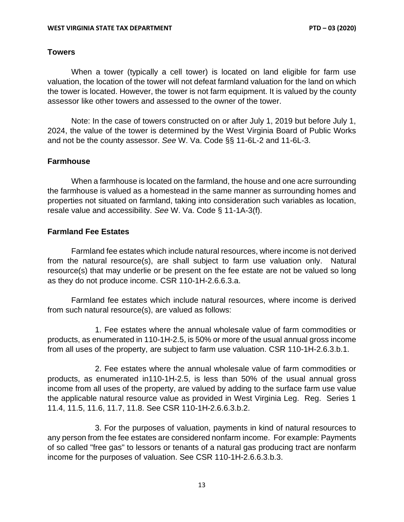#### <span id="page-12-0"></span>**Towers**

When a tower (typically a cell tower) is located on land eligible for farm use valuation, the location of the tower will not defeat farmland valuation for the land on which the tower is located. However, the tower is not farm equipment. It is valued by the county assessor like other towers and assessed to the owner of the tower.

Note: In the case of towers constructed on or after July 1, 2019 but before July 1, 2024, the value of the tower is determined by the West Virginia Board of Public Works and not be the county assessor. *See* W. Va. Code §§ 11-6L-2 and 11-6L-3.

#### <span id="page-12-1"></span>**Farmhouse**

When a farmhouse is located on the farmland, the house and one acre surrounding the farmhouse is valued as a homestead in the same manner as surrounding homes and properties not situated on farmland, taking into consideration such variables as location, resale value and accessibility. *See* W. Va. Code § 11-1A-3(f).

### <span id="page-12-2"></span>**Farmland Fee Estates**

Farmland fee estates which include natural resources, where income is not derived from the natural resource(s), are shall subject to farm use valuation only. Natural resource(s) that may underlie or be present on the fee estate are not be valued so long as they do not produce income. CSR 110-1H-2.6.6.3.a.

Farmland fee estates which include natural resources, where income is derived from such natural resource(s), are valued as follows:

1. Fee estates where the annual wholesale value of farm commodities or products, as enumerated in 110-1H-2.5, is 50% or more of the usual annual gross income from all uses of the property, are subject to farm use valuation. CSR 110-1H-2.6.3.b.1.

2. Fee estates where the annual wholesale value of farm commodities or products, as enumerated in110-1H-2.5, is less than 50% of the usual annual gross income from all uses of the property, are valued by adding to the surface farm use value the applicable natural resource value as provided in West Virginia Leg. Reg. Series 1 11.4, 11.5, 11.6, 11.7, 11.8. See CSR 110-1H-2.6.6.3.b.2.

3. For the purposes of valuation, payments in kind of natural resources to any person from the fee estates are considered nonfarm income. For example: Payments of so called "free gas" to lessors or tenants of a natural gas producing tract are nonfarm income for the purposes of valuation. See CSR 110-1H-2.6.6.3.b.3.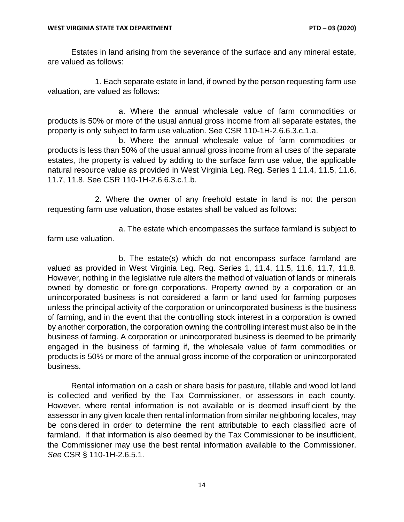Estates in land arising from the severance of the surface and any mineral estate, are valued as follows:

1. Each separate estate in land, if owned by the person requesting farm use valuation, are valued as follows:

a. Where the annual wholesale value of farm commodities or products is 50% or more of the usual annual gross income from all separate estates, the property is only subject to farm use valuation. See CSR 110-1H-2.6.6.3.c.1.a.

b. Where the annual wholesale value of farm commodities or products is less than 50% of the usual annual gross income from all uses of the separate estates, the property is valued by adding to the surface farm use value, the applicable natural resource value as provided in West Virginia Leg. Reg. Series 1 11.4, 11.5, 11.6, 11.7, 11.8. See CSR 110-1H-2.6.6.3.c.1.b.

2. Where the owner of any freehold estate in land is not the person requesting farm use valuation, those estates shall be valued as follows:

a. The estate which encompasses the surface farmland is subject to farm use valuation.

b. The estate(s) which do not encompass surface farmland are valued as provided in West Virginia Leg. Reg. Series 1, 11.4, 11.5, 11.6, 11.7, 11.8. However, nothing in the legislative rule alters the method of valuation of lands or minerals owned by domestic or foreign corporations. Property owned by a corporation or an unincorporated business is not considered a farm or land used for farming purposes unless the principal activity of the corporation or unincorporated business is the business of farming, and in the event that the controlling stock interest in a corporation is owned by another corporation, the corporation owning the controlling interest must also be in the business of farming. A corporation or unincorporated business is deemed to be primarily engaged in the business of farming if, the wholesale value of farm commodities or products is 50% or more of the annual gross income of the corporation or unincorporated business.

Rental information on a cash or share basis for pasture, tillable and wood lot land is collected and verified by the Tax Commissioner, or assessors in each county. However, where rental information is not available or is deemed insufficient by the assessor in any given locale then rental information from similar neighboring locales, may be considered in order to determine the rent attributable to each classified acre of farmland. If that information is also deemed by the Tax Commissioner to be insufficient, the Commissioner may use the best rental information available to the Commissioner. *See* CSR § 110-1H-2.6.5.1.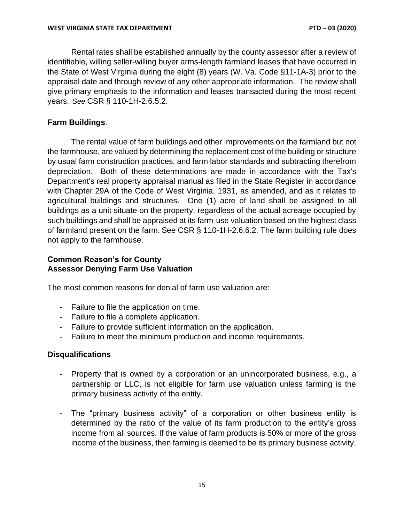Rental rates shall be established annually by the county assessor after a review of identifiable, willing seller-willing buyer arms-length farmland leases that have occurred in the State of West Virginia during the eight (8) years (W. Va. Code §11-1A-3) prior to the appraisal date and through review of any other appropriate information. The review shall give primary emphasis to the information and leases transacted during the most recent years. *See* CSR § 110-1H-2.6.5.2.

### <span id="page-14-0"></span>**Farm Buildings**.

The rental value of farm buildings and other improvements on the farmland but not the farmhouse, are valued by determining the replacement cost of the building or structure by usual farm construction practices, and farm labor standards and subtracting therefrom depreciation. Both of these determinations are made in accordance with the Tax's Department's real property appraisal manual as filed in the State Register in accordance with Chapter 29A of the Code of West Virginia, 1931, as amended, and as it relates to agricultural buildings and structures. One (1) acre of land shall be assigned to all buildings as a unit situate on the property, regardless of the actual acreage occupied by such buildings and shall be appraised at its farm-use valuation based on the highest class of farmland present on the farm. See CSR § 110-1H-2.6.6.2. The farm building rule does not apply to the farmhouse.

### <span id="page-14-2"></span><span id="page-14-1"></span>**Common Reason's for County Assessor Denying Farm Use Valuation**

The most common reasons for denial of farm use valuation are:

- Failure to file the application on time.
- Failure to file a complete application.
- Failure to provide sufficient information on the application.
- Failure to meet the minimum production and income requirements.

### <span id="page-14-3"></span>**Disqualifications**

- Property that is owned by a corporation or an unincorporated business, e.g., a partnership or LLC, is not eligible for farm use valuation unless farming is the primary business activity of the entity.
- The "primary business activity" of a corporation or other business entity is determined by the ratio of the value of its farm production to the entity's gross income from all sources. If the value of farm products is 50% or more of the gross income of the business, then farming is deemed to be its primary business activity.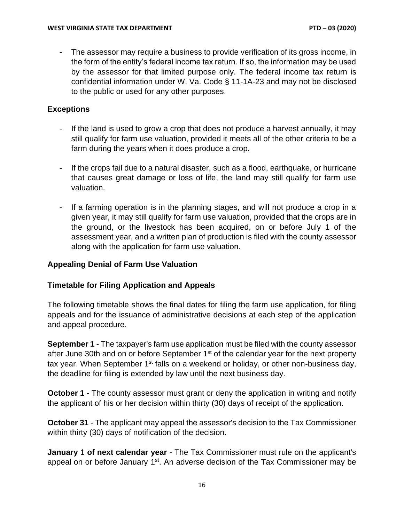- The assessor may require a business to provide verification of its gross income, in the form of the entity's federal income tax return. If so, the information may be used by the assessor for that limited purpose only. The federal income tax return is confidential information under W. Va. Code § 11-1A-23 and may not be disclosed to the public or used for any other purposes.

### <span id="page-15-0"></span>**Exceptions**

- If the land is used to grow a crop that does not produce a harvest annually, it may still qualify for farm use valuation, provided it meets all of the other criteria to be a farm during the years when it does produce a crop.
- If the crops fail due to a natural disaster, such as a flood, earthquake, or hurricane that causes great damage or loss of life, the land may still qualify for farm use valuation.
- If a farming operation is in the planning stages, and will not produce a crop in a given year, it may still qualify for farm use valuation, provided that the crops are in the ground, or the livestock has been acquired, on or before July 1 of the assessment year, and a written plan of production is filed with the county assessor along with the application for farm use valuation.

### <span id="page-15-1"></span>**Appealing Denial of Farm Use Valuation**

# <span id="page-15-2"></span>**Timetable for Filing Application and Appeals**

The following timetable shows the final dates for filing the farm use application, for filing appeals and for the issuance of administrative decisions at each step of the application and appeal procedure.

**September 1** - The taxpayer's farm use application must be filed with the county assessor after June 30th and on or before September 1<sup>st</sup> of the calendar year for the next property tax year. When September 1<sup>st</sup> falls on a weekend or holiday, or other non-business day, the deadline for filing is extended by law until the next business day.

**October 1** - The county assessor must grant or deny the application in writing and notify the applicant of his or her decision within thirty (30) days of receipt of the application.

**October 31** - The applicant may appeal the assessor's decision to the Tax Commissioner within thirty (30) days of notification of the decision.

**January** 1 **of next calendar year** - The Tax Commissioner must rule on the applicant's appeal on or before January 1<sup>st</sup>. An adverse decision of the Tax Commissioner may be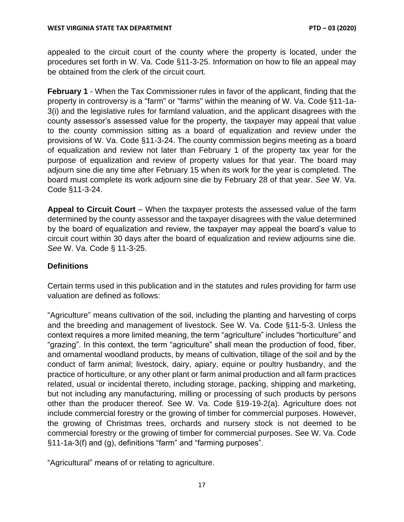appealed to the circuit court of the county where the property is located, under the procedures set forth in W. Va. Code §11-3-25. Information on how to file an appeal may be obtained from the clerk of the circuit court.

**February 1** - When the Tax Commissioner rules in favor of the applicant, finding that the property in controversy is a "farm" or "farms" within the meaning of W. Va. Code §11-1a-3(i) and the legislative rules for farmland valuation, and the applicant disagrees with the county assessor's assessed value for the property, the taxpayer may appeal that value to the county commission sitting as a board of equalization and review under the provisions of W. Va. Code §11-3-24. The county commission begins meeting as a board of equalization and review not later than February 1 of the property tax year for the purpose of equalization and review of property values for that year. The board may adjourn sine die any time after February 15 when its work for the year is completed. The board must complete its work adjourn sine die by February 28 of that year. *See* W. Va. Code §11-3-24.

**Appeal to Circuit Court** – When the taxpayer protests the assessed value of the farm determined by the county assessor and the taxpayer disagrees with the value determined by the board of equalization and review, the taxpayer may appeal the board's value to circuit court within 30 days after the board of equalization and review adjourns sine die. *See* W. Va. Code § 11-3-25.

# <span id="page-16-0"></span>**Definitions**

Certain terms used in this publication and in the statutes and rules providing for farm use valuation are defined as follows:

"Agriculture" means cultivation of the soil, including the planting and harvesting of corps and the breeding and management of livestock. See W. Va. Code §11-5-3. Unless the context requires a more limited meaning, the term "agriculture" includes "horticulture" and "grazing". In this context, the term "agriculture" shall mean the production of food, fiber, and ornamental woodland products, by means of cultivation, tillage of the soil and by the conduct of farm animal; livestock, dairy, apiary, equine or poultry husbandry, and the practice of horticulture, or any other plant or farm animal production and all farm practices related, usual or incidental thereto, including storage, packing, shipping and marketing, but not including any manufacturing, milling or processing of such products by persons other than the producer thereof. See W. Va. Code §19-19-2(a). Agriculture does not include commercial forestry or the growing of timber for commercial purposes. However, the growing of Christmas trees, orchards and nursery stock is not deemed to be commercial forestry or the growing of timber for commercial purposes. See W. Va. Code §11-1a-3(f) and (g), definitions "farm" and "farming purposes".

"Agricultural" means of or relating to agriculture.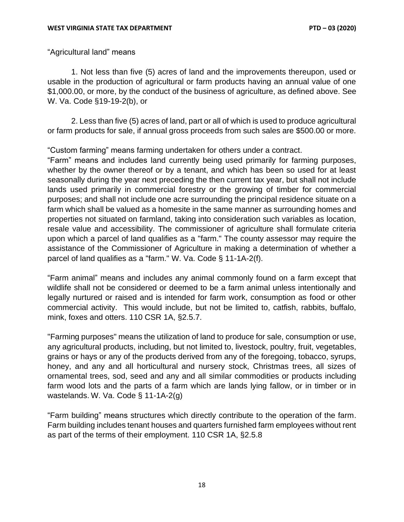"Agricultural land" means

1. Not less than five (5) acres of land and the improvements thereupon, used or usable in the production of agricultural or farm products having an annual value of one \$1,000.00, or more, by the conduct of the business of agriculture, as defined above. See W. Va. Code §19-19-2(b), or

2. Less than five (5) acres of land, part or all of which is used to produce agricultural or farm products for sale, if annual gross proceeds from such sales are \$500.00 or more.

### "Custom farming" means farming undertaken for others under a contract.

"Farm" means and includes land currently being used primarily for farming purposes, whether by the owner thereof or by a tenant, and which has been so used for at least seasonally during the year next preceding the then current tax year, but shall not include lands used primarily in commercial forestry or the growing of timber for commercial purposes; and shall not include one acre surrounding the principal residence situate on a farm which shall be valued as a homesite in the same manner as surrounding homes and properties not situated on farmland, taking into consideration such variables as location, resale value and accessibility. The commissioner of agriculture shall formulate criteria upon which a parcel of land qualifies as a "farm." The county assessor may require the assistance of the Commissioner of Agriculture in making a determination of whether a parcel of land qualifies as a "farm." W. Va. Code § 11-1A-2(f).

"Farm animal" means and includes any animal commonly found on a farm except that wildlife shall not be considered or deemed to be a farm animal unless intentionally and legally nurtured or raised and is intended for farm work, consumption as food or other commercial activity. This would include, but not be limited to, catfish, rabbits, buffalo, mink, foxes and otters. 110 CSR 1A, §2.5.7.

"Farming purposes" means the utilization of land to produce for sale, consumption or use, any agricultural products, including, but not limited to, livestock, poultry, fruit, vegetables, grains or hays or any of the products derived from any of the foregoing, tobacco, syrups, honey, and any and all horticultural and nursery stock, Christmas trees, all sizes of ornamental trees, sod, seed and any and all similar commodities or products including farm wood lots and the parts of a farm which are lands lying fallow, or in timber or in wastelands. W. Va. Code § 11-1A-2(g)

"Farm building" means structures which directly contribute to the operation of the farm. Farm building includes tenant houses and quarters furnished farm employees without rent as part of the terms of their employment. 110 CSR 1A, §2.5.8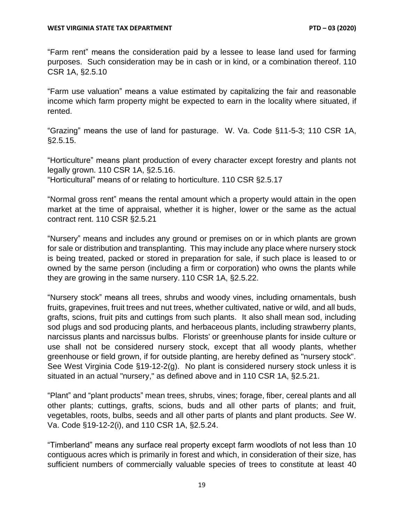"Farm rent" means the consideration paid by a lessee to lease land used for farming purposes. Such consideration may be in cash or in kind, or a combination thereof. 110 CSR 1A, §2.5.10

"Farm use valuation" means a value estimated by capitalizing the fair and reasonable income which farm property might be expected to earn in the locality where situated, if rented.

"Grazing" means the use of land for pasturage. W. Va. Code §11-5-3; 110 CSR 1A, §2.5.15.

"Horticulture" means plant production of every character except forestry and plants not legally grown. 110 CSR 1A, §2.5.16.

"Horticultural" means of or relating to horticulture. 110 CSR §2.5.17

"Normal gross rent" means the rental amount which a property would attain in the open market at the time of appraisal, whether it is higher, lower or the same as the actual contract rent. 110 CSR §2.5.21

"Nursery" means and includes any ground or premises on or in which plants are grown for sale or distribution and transplanting. This may include any place where nursery stock is being treated, packed or stored in preparation for sale, if such place is leased to or owned by the same person (including a firm or corporation) who owns the plants while they are growing in the same nursery. 110 CSR 1A, §2.5.22.

"Nursery stock" means all trees, shrubs and woody vines, including ornamentals, bush fruits, grapevines, fruit trees and nut trees, whether cultivated, native or wild, and all buds, grafts, scions, fruit pits and cuttings from such plants. It also shall mean sod, including sod plugs and sod producing plants, and herbaceous plants, including strawberry plants, narcissus plants and narcissus bulbs. Florists' or greenhouse plants for inside culture or use shall not be considered nursery stock, except that all woody plants, whether greenhouse or field grown, if for outside planting, are hereby defined as "nursery stock". See West Virginia Code §19-12-2(g). No plant is considered nursery stock unless it is situated in an actual "nursery," as defined above and in 110 CSR 1A, §2.5.21.

"Plant" and "plant products" mean trees, shrubs, vines; forage, fiber, cereal plants and all other plants; cuttings, grafts, scions, buds and all other parts of plants; and fruit, vegetables, roots, bulbs, seeds and all other parts of plants and plant products. *See* W. Va. Code §19-12-2(i), and 110 CSR 1A, §2.5.24.

"Timberland" means any surface real property except farm woodlots of not less than 10 contiguous acres which is primarily in forest and which, in consideration of their size, has sufficient numbers of commercially valuable species of trees to constitute at least 40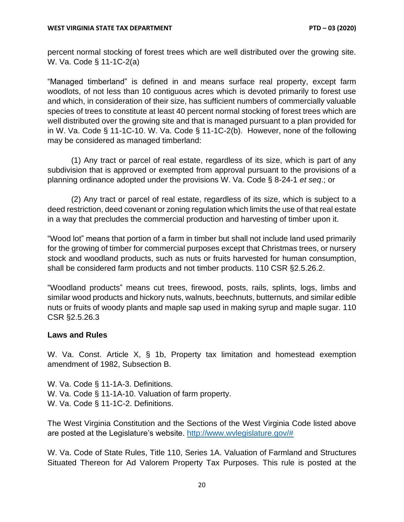percent normal stocking of forest trees which are well distributed over the growing site. W. Va. Code § 11-1C-2(a)

"Managed timberland" is defined in and means surface real property, except farm woodlots, of not less than 10 contiguous acres which is devoted primarily to forest use and which, in consideration of their size, has sufficient numbers of commercially valuable species of trees to constitute at least 40 percent normal stocking of forest trees which are well distributed over the growing site and that is managed pursuant to a plan provided for in W. Va. Code § 11-1C-10. W. Va. Code § 11-1C-2(b). However, none of the following may be considered as managed timberland:

(1) Any tract or parcel of real estate, regardless of its size, which is part of any subdivision that is approved or exempted from approval pursuant to the provisions of a planning ordinance adopted under the provisions W. Va. Code § 8-24-1 *et seq*.; or

(2) Any tract or parcel of real estate, regardless of its size, which is subject to a deed restriction, deed covenant or zoning regulation which limits the use of that real estate in a way that precludes the commercial production and harvesting of timber upon it.

"Wood lot" means that portion of a farm in timber but shall not include land used primarily for the growing of timber for commercial purposes except that Christmas trees, or nursery stock and woodland products, such as nuts or fruits harvested for human consumption, shall be considered farm products and not timber products. 110 CSR §2.5.26.2.

"Woodland products" means cut trees, firewood, posts, rails, splints, logs, limbs and similar wood products and hickory nuts, walnuts, beechnuts, butternuts, and similar edible nuts or fruits of woody plants and maple sap used in making syrup and maple sugar. 110 CSR §2.5.26.3

#### <span id="page-19-0"></span>**Laws and Rules**

W. Va. Const. Article X, § 1b, Property tax limitation and homestead exemption amendment of 1982, Subsection B.

W. Va. Code § 11-1A-3. Definitions. W. Va. Code § 11-1A-10. Valuation of farm property. W. Va. Code § 11-1C-2. Definitions.

The West Virginia Constitution and the Sections of the West Virginia Code listed above are posted at the Legislature's website. [http://www.wvlegislature.gov/#](http://www.wvlegislature.gov/)

W. Va. Code of State Rules, Title 110, Series 1A. Valuation of Farmland and Structures Situated Thereon for Ad Valorem Property Tax Purposes. This rule is posted at the